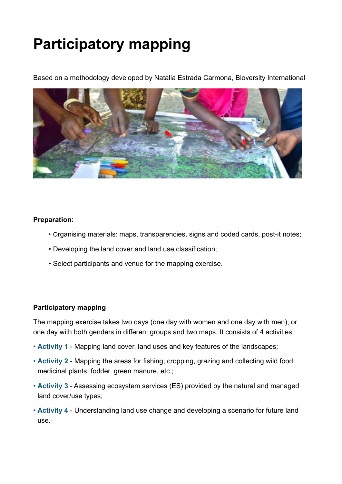# **Participatory mapping**

Based on a methodology developed by Natalia Estrada Carmona, Bioversity International



#### **Preparation:**

- Organising materials: maps, transparencies, signs and coded cards, post-it notes;
- Developing the land cover and land use classification;
- Select participants and venue for the mapping exercise.

### **Participatory mapping**

The mapping exercise takes two days (one day with women and one day with men); or one day with both genders in different groups and two maps. It consists of 4 activities:

- **Activity 1** Mapping land cover, land uses and key features of the landscapes;
- **Activity 2** Mapping the areas for fishing, cropping, grazing and collecting wild food, medicinal plants, fodder, green manure, etc.;
- **Activity 3** Assessing ecosystem services (ES) provided by the natural and managed land cover/use types;
- **Activity 4** Understanding land use change and developing a scenario for future land use.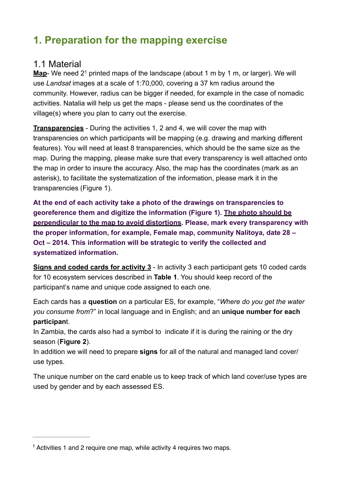# **1. Preparation for the mapping exercise**

### 1.1 Material

**Map**- We need 2<sup>1</sup> printed maps of the landscape (about 1 m by 1 m, or larger). We will use *Landsat* images at a scale of 1:70,000, covering a 37 km radius around the community. However, radius can be bigger if needed, for example in the case of nomadic activities. Natalia will help us get the maps - please send us the coordinates of the village(s) where you plan to carry out the exercise.

**Transparencies** - During the activities 1, 2 and 4, we will cover the map with transparencies on which participants will be mapping (e.g. drawing and marking different features). You will need at least 8 transparencies, which should be the same size as the map. During the mapping, please make sure that every transparency is well attached onto the map in order to insure the accuracy. Also, the map has the coordinates (mark as an asterisk), to facilitate the systematization of the information, please mark it in the transparencies (Figure 1).

**At the end of each activity take a photo of the drawings on transparencies to georeference them and digitize the information (Figure 1). The photo should be perpendicular to the map to avoid distortions. Please, mark every transparency with the proper information, for example, Female map, community Nalitoya, date 28 – Oct – 2014. This information will be strategic to verify the collected and systematized information.** 

**Signs and coded cards for activity 3** - In activity 3 each participant gets 10 coded cards for 10 ecosystem services described in **Table 1**. You should keep record of the participant's name and unique code assigned to each one.

Each cards has a **question** on a particular ES, for example, "*Where do you get the water you consume from*?" in local language and in English; and an **unique number for each participan**t.

In Zambia, the cards also had a symbol to indicate if it is during the raining or the dry season (**Figure 2**).

In addition we will need to prepare **signs** for all of the natural and managed land cover/ use types.

The unique number on the card enable us to keep track of which land cover/use types are used by gender and by each assessed ES.

 $1$  Activities 1 and 2 require one map, while activity 4 requires two maps.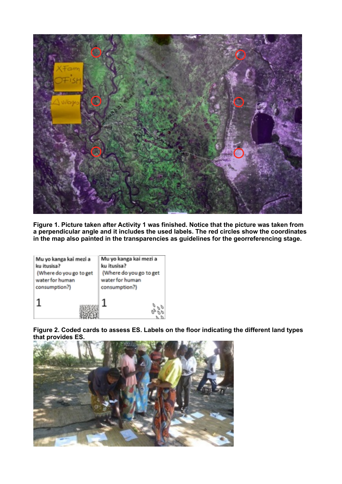

**Figure 1. Picture taken after Activity 1 was finished. Notice that the picture was taken from a perpendicular angle and it includes the used labels. The red circles show the coordinates in the map also painted in the transparencies as guidelines for the georreferencing stage.** 

| Mu yo kanga kai mezi a  | Mu yo kanga kai mezi a  |  |  |  |
|-------------------------|-------------------------|--|--|--|
| ku itusisa?             | ku itusisa?             |  |  |  |
| (Where do you go to get | (Where do you go to get |  |  |  |
| water for human         | water for human         |  |  |  |
| consumption?)           | consumption?)           |  |  |  |
|                         |                         |  |  |  |

**Figure 2. Coded cards to assess ES. Labels on the floor indicating the different land types that provides ES.** 

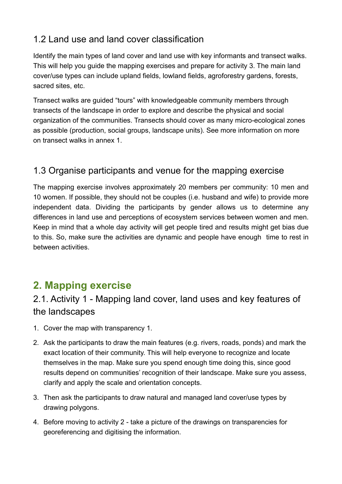# 1.2 Land use and land cover classification

Identify the main types of land cover and land use with key informants and transect walks. This will help you guide the mapping exercises and prepare for activity 3. The main land cover/use types can include upland fields, lowland fields, agroforestry gardens, forests, sacred sites, etc.

Transect walks are guided "tours" with knowledgeable community members through transects of the landscape in order to explore and describe the physical and social organization of the communities. Transects should cover as many micro-ecological zones as possible (production, social groups, landscape units). See more information on more on transect walks in annex 1.

## 1.3 Organise participants and venue for the mapping exercise

The mapping exercise involves approximately 20 members per community: 10 men and 10 women. If possible, they should not be couples (i.e. husband and wife) to provide more independent data. Dividing the participants by gender allows us to determine any differences in land use and perceptions of ecosystem services between women and men. Keep in mind that a whole day activity will get people tired and results might get bias due to this. So, make sure the activities are dynamic and people have enough time to rest in between activities.

# **2. Mapping exercise**

# 2.1. Activity 1 - Mapping land cover, land uses and key features of the landscapes

- 1. Cover the map with transparency 1.
- 2. Ask the participants to draw the main features (e.g. rivers, roads, ponds) and mark the exact location of their community. This will help everyone to recognize and locate themselves in the map. Make sure you spend enough time doing this, since good results depend on communities' recognition of their landscape. Make sure you assess, clarify and apply the scale and orientation concepts.
- 3. Then ask the participants to draw natural and managed land cover/use types by drawing polygons.
- 4. Before moving to activity 2 take a picture of the drawings on transparencies for georeferencing and digitising the information.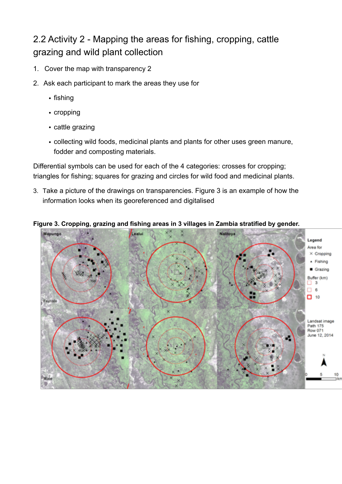# 2.2 Activity 2 - Mapping the areas for fishing, cropping, cattle grazing and wild plant collection

- 1. Cover the map with transparency 2
- 2. Ask each participant to mark the areas they use for
	- fishing
	- cropping
	- cattle grazing
	- collecting wild foods, medicinal plants and plants for other uses green manure, fodder and composting materials.

Differential symbols can be used for each of the 4 categories: crosses for cropping; triangles for fishing; squares for grazing and circles for wild food and medicinal plants.

3. Take a picture of the drawings on transparencies. Figure 3 is an example of how the information looks when its georeferenced and digitalised

#### **Figure 3. Cropping, grazing and fishing areas in 3 villages in Zambia stratified by gender.**

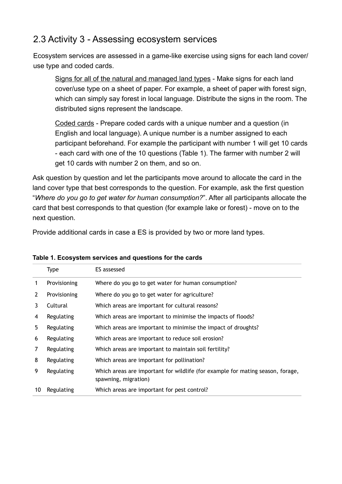### 2.3 Activity 3 - Assessing ecosystem services

Ecosystem services are assessed in a game-like exercise using signs for each land cover/ use type and coded cards.

Signs for all of the natural and managed land types - Make signs for each land cover/use type on a sheet of paper. For example, a sheet of paper with forest sign, which can simply say forest in local language. Distribute the signs in the room. The distributed signs represent the landscape.

Coded cards - Prepare coded cards with a unique number and a question (in English and local language). A unique number is a number assigned to each participant beforehand. For example the participant with number 1 will get 10 cards - each card with one of the 10 questions (Table 1). The farmer with number 2 will get 10 cards with number 2 on them, and so on.

Ask question by question and let the participants move around to allocate the card in the land cover type that best corresponds to the question. For example, ask the first question "*Where do you go to get water for human consumption?*". After all participants allocate the card that best corresponds to that question (for example lake or forest) - move on to the next question.

Provide additional cards in case a ES is provided by two or more land types.

|                | <b>Type</b>  | ES assessed                                                                                            |
|----------------|--------------|--------------------------------------------------------------------------------------------------------|
|                | Provisioning | Where do you go to get water for human consumption?                                                    |
| $\overline{2}$ | Provisioning | Where do you go to get water for agriculture?                                                          |
| 3              | Cultural     | Which areas are important for cultural reasons?                                                        |
| 4              | Regulating   | Which areas are important to minimise the impacts of floods?                                           |
| 5              | Regulating   | Which areas are important to minimise the impact of droughts?                                          |
| 6              | Regulating   | Which areas are important to reduce soil erosion?                                                      |
| 7              | Regulating   | Which areas are important to maintain soil fertility?                                                  |
| 8              | Regulating   | Which areas are important for pollination?                                                             |
| 9              | Regulating   | Which areas are important for wildlife (for example for mating season, forage,<br>spawning, migration) |
| 10             | Regulating   | Which areas are important for pest control?                                                            |

#### **Table 1. Ecosystem services and questions for the cards**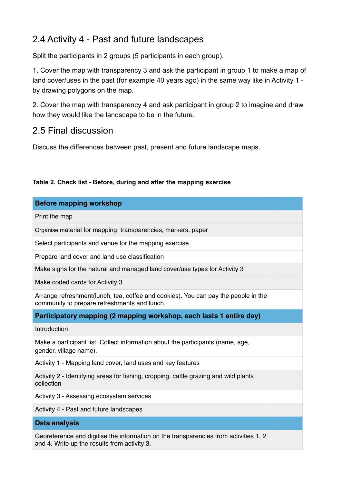# 2.4 Activity 4 - Past and future landscapes

Split the participants in 2 groups (5 participants in each group).

1**.** Cover the map with transparency 3 and ask the participant in group 1 to make a map of land cover/uses in the past (for example 40 years ago) in the same way like in Activity 1 by drawing polygons on the map.

2. Cover the map with transparency 4 and ask participant in group 2 to imagine and draw how they would like the landscape to be in the future.

### 2.5 Final discussion

Discuss the differences between past, present and future landscape maps.

| Table 2. Check list - Before, during and after the mapping exercise |  |  |  |  |  |  |  |  |  |  |  |
|---------------------------------------------------------------------|--|--|--|--|--|--|--|--|--|--|--|
|---------------------------------------------------------------------|--|--|--|--|--|--|--|--|--|--|--|

| <b>Before mapping workshop</b>                                                                                                       |  |  |  |  |
|--------------------------------------------------------------------------------------------------------------------------------------|--|--|--|--|
| Print the map                                                                                                                        |  |  |  |  |
| Organise material for mapping: transparencies, markers, paper                                                                        |  |  |  |  |
| Select participants and venue for the mapping exercise                                                                               |  |  |  |  |
| Prepare land cover and land use classification                                                                                       |  |  |  |  |
| Make signs for the natural and managed land cover/use types for Activity 3                                                           |  |  |  |  |
| Make coded cards for Activity 3                                                                                                      |  |  |  |  |
| Arrange refreshment(lunch, tea, coffee and cookies). You can pay the people in the<br>community to prepare refreshments and lunch.   |  |  |  |  |
| Participatory mapping (2 mapping workshop, each lasts 1 entire day)                                                                  |  |  |  |  |
| Introduction                                                                                                                         |  |  |  |  |
| Make a participant list: Collect information about the participants (name, age,<br>gender, village name).                            |  |  |  |  |
| Activity 1 - Mapping land cover, land uses and key features                                                                          |  |  |  |  |
| Activity 2 - Identifying areas for fishing, cropping, cattle grazing and wild plants<br>collection                                   |  |  |  |  |
| Activity 3 - Assessing ecosystem services                                                                                            |  |  |  |  |
| Activity 4 - Past and future landscapes                                                                                              |  |  |  |  |
| <b>Data analysis</b>                                                                                                                 |  |  |  |  |
| Georeference and digitise the information on the transparencies from activities 1, 2<br>and 4. Write up the results from activity 3. |  |  |  |  |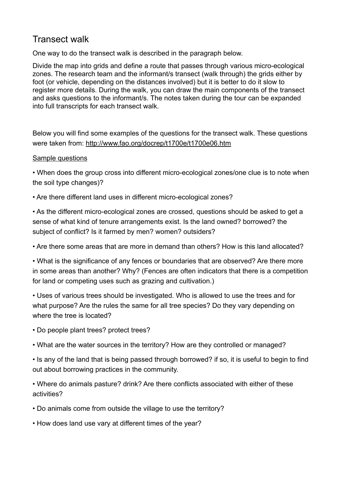### Transect walk

One way to do the transect walk is described in the paragraph below.

Divide the map into grids and define a route that passes through various micro-ecological zones. The research team and the informant/s transect (walk through) the grids either by foot (or vehicle, depending on the distances involved) but it is better to do it slow to register more details. During the walk, you can draw the main components of the transect and asks questions to the informant/s. The notes taken during the tour can be expanded into full transcripts for each transect walk.

Below you will find some examples of the questions for the transect walk. These questions were taken from:<http://www.fao.org/docrep/t1700e/t1700e06.htm>

#### Sample questions

• When does the group cross into different micro-ecological zones/one clue is to note when the soil type changes)?

• Are there different land uses in different micro-ecological zones?

• As the different micro-ecological zones are crossed, questions should be asked to get a sense of what kind of tenure arrangements exist. Is the land owned? borrowed? the subject of conflict? Is it farmed by men? women? outsiders?

• Are there some areas that are more in demand than others? How is this land allocated?

• What is the significance of any fences or boundaries that are observed? Are there more in some areas than another? Why? (Fences are often indicators that there is a competition for land or competing uses such as grazing and cultivation.)

• Uses of various trees should be investigated. Who is allowed to use the trees and for what purpose? Are the rules the same for all tree species? Do they vary depending on where the tree is located?

• Do people plant trees? protect trees?

• What are the water sources in the territory? How are they controlled or managed?

• Is any of the land that is being passed through borrowed? if so, it is useful to begin to find out about borrowing practices in the community.

• Where do animals pasture? drink? Are there conflicts associated with either of these activities?

- Do animals come from outside the village to use the territory?
- How does land use vary at different times of the year?